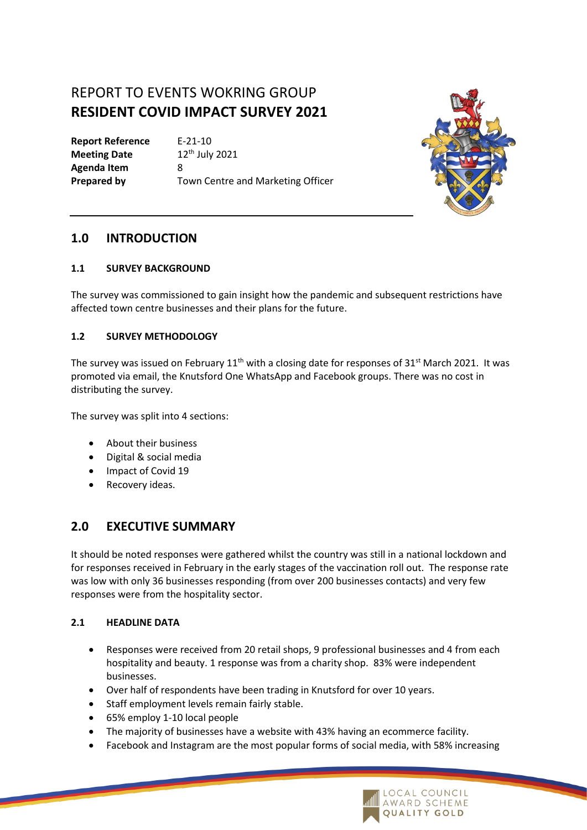# REPORT TO EVENTS WOKRING GROUP **RESIDENT COVID IMPACT SURVEY 2021**

**Report Reference** E-21-10 **Meeting Date** 12<sup>th</sup> July 2021 **Agenda Item** 8

**Prepared by Town Centre and Marketing Officer** 



# **1.0 INTRODUCTION**

# **1.1 SURVEY BACKGROUND**

The survey was commissioned to gain insight how the pandemic and subsequent restrictions have affected town centre businesses and their plans for the future.

# **1.2 SURVEY METHODOLOGY**

The survey was issued on February  $11<sup>th</sup>$  with a closing date for responses of 31<sup>st</sup> March 2021. It was promoted via email, the Knutsford One WhatsApp and Facebook groups. There was no cost in distributing the survey.

The survey was split into 4 sections:

- About their business
- Digital & social media
- Impact of Covid 19
- Recovery ideas.

# **2.0 EXECUTIVE SUMMARY**

It should be noted responses were gathered whilst the country was still in a national lockdown and for responses received in February in the early stages of the vaccination roll out. The response rate was low with only 36 businesses responding (from over 200 businesses contacts) and very few responses were from the hospitality sector.

## **2.1 HEADLINE DATA**

- Responses were received from 20 retail shops, 9 professional businesses and 4 from each hospitality and beauty. 1 response was from a charity shop. 83% were independent businesses.
- Over half of respondents have been trading in Knutsford for over 10 years.
- Staff employment levels remain fairly stable.
- 65% employ 1-10 local people
- The majority of businesses have a website with 43% having an ecommerce facility.
- Facebook and Instagram are the most popular forms of social media, with 58% increasing

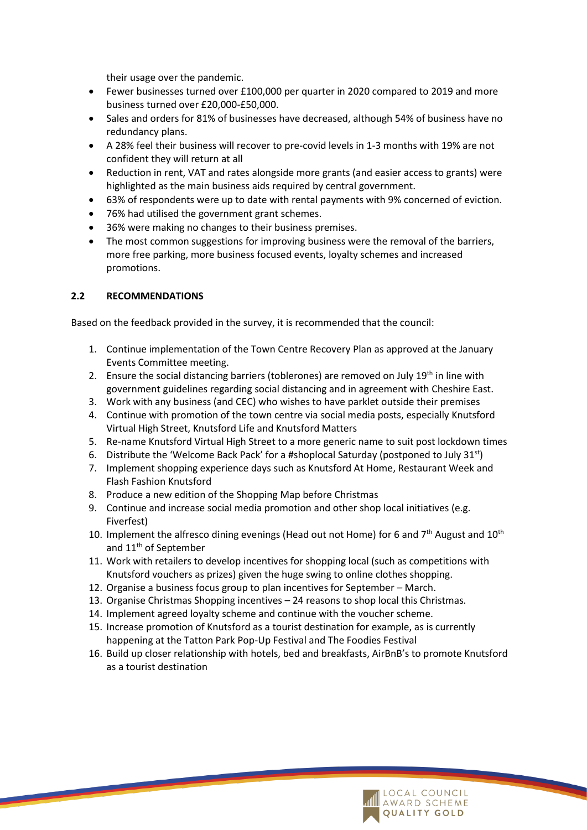their usage over the pandemic.

- Fewer businesses turned over £100,000 per quarter in 2020 compared to 2019 and more business turned over £20,000-£50,000.
- Sales and orders for 81% of businesses have decreased, although 54% of business have no redundancy plans.
- A 28% feel their business will recover to pre-covid levels in 1-3 months with 19% are not confident they will return at all
- Reduction in rent, VAT and rates alongside more grants (and easier access to grants) were highlighted as the main business aids required by central government.
- 63% of respondents were up to date with rental payments with 9% concerned of eviction.
- 76% had utilised the government grant schemes.
- 36% were making no changes to their business premises.
- The most common suggestions for improving business were the removal of the barriers, more free parking, more business focused events, loyalty schemes and increased promotions.

#### **2.2 RECOMMENDATIONS**

Based on the feedback provided in the survey, it is recommended that the council:

- 1. Continue implementation of the Town Centre Recovery Plan as approved at the January Events Committee meeting.
- 2. Ensure the social distancing barriers (toblerones) are removed on July  $19<sup>th</sup>$  in line with government guidelines regarding social distancing and in agreement with Cheshire East.
- 3. Work with any business (and CEC) who wishes to have parklet outside their premises
- 4. Continue with promotion of the town centre via social media posts, especially Knutsford Virtual High Street, Knutsford Life and Knutsford Matters
- 5. Re-name Knutsford Virtual High Street to a more generic name to suit post lockdown times
- 6. Distribute the 'Welcome Back Pack' for a #shoplocal Saturday (postponed to July 31<sup>st</sup>)
- 7. Implement shopping experience days such as Knutsford At Home, Restaurant Week and Flash Fashion Knutsford
- 8. Produce a new edition of the Shopping Map before Christmas
- 9. Continue and increase social media promotion and other shop local initiatives (e.g. Fiverfest)
- 10. Implement the alfresco dining evenings (Head out not Home) for 6 and  $7<sup>th</sup>$  August and  $10<sup>th</sup>$ and 11<sup>th</sup> of September
- 11. Work with retailers to develop incentives for shopping local (such as competitions with Knutsford vouchers as prizes) given the huge swing to online clothes shopping.
- 12. Organise a business focus group to plan incentives for September March.
- 13. Organise Christmas Shopping incentives 24 reasons to shop local this Christmas.
- 14. Implement agreed loyalty scheme and continue with the voucher scheme.
- 15. Increase promotion of Knutsford as a tourist destination for example, as is currently happening at the Tatton Park Pop-Up Festival and The Foodies Festival
- 16. Build up closer relationship with hotels, bed and breakfasts, AirBnB's to promote Knutsford as a tourist destination

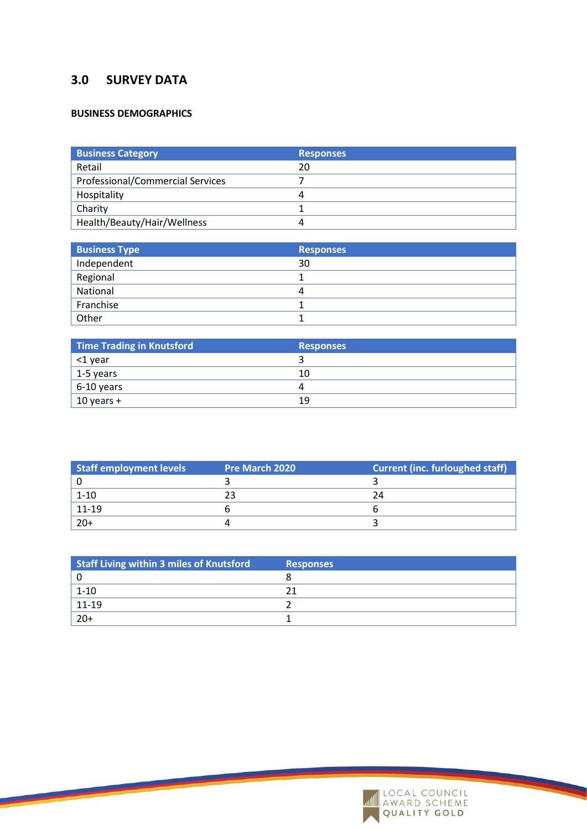# **3.0 SURVEY DATA**

### **BUSINESS DEMOGRAPHICS**

| <b>Business Category</b>                | <b>Responses</b> |
|-----------------------------------------|------------------|
| Retail                                  | 20               |
| <b>Professional/Commercial Services</b> |                  |
| Hospitality                             | 4                |
| Charity                                 |                  |
| Health/Beauty/Hair/Wellness             | 4                |

| <b>Business Type</b> | <b>Responses</b> |
|----------------------|------------------|
| Independent          | 30               |
| Regional             |                  |
| National             | 4                |
| Franchise            |                  |
| Other                |                  |

| Time Trading in Knutsford | <b>Responses</b> |
|---------------------------|------------------|
| <1 year                   |                  |
| $1-5$ years               | 10               |
| $6-10$ years              | Д                |
| $10$ years +              | 19               |

| Staff employment levels | <b>Pre March 2020</b> | <b>Current (inc. furloughed staff)</b> |
|-------------------------|-----------------------|----------------------------------------|
|                         |                       |                                        |
| $1 - 10$                |                       |                                        |
| $11 - 19$               |                       |                                        |
| $20+$                   |                       |                                        |

| Staff Living within 3 miles of Knutsford | <b>Responses</b> |
|------------------------------------------|------------------|
|                                          |                  |
| $1 - 10$                                 |                  |
| $11 - 19$                                |                  |
| $20+$                                    |                  |

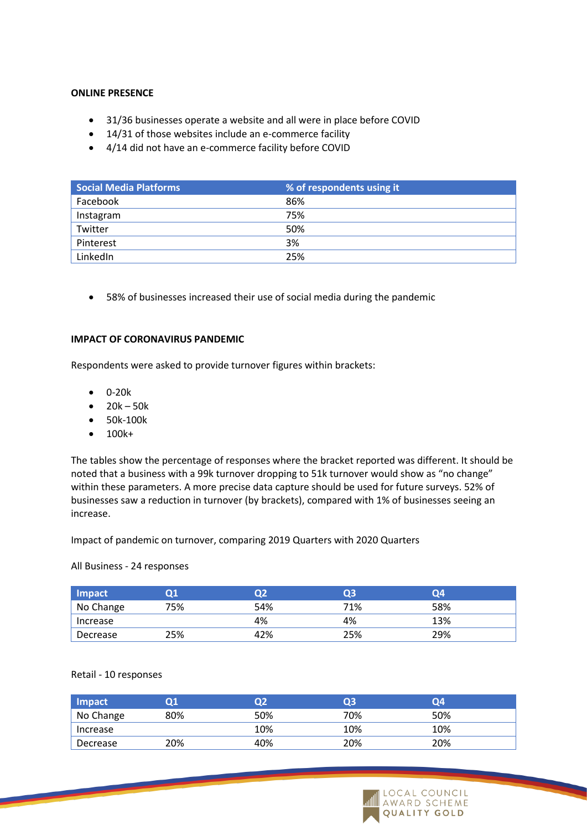### **ONLINE PRESENCE**

- 31/36 businesses operate a website and all were in place before COVID
- 14/31 of those websites include an e-commerce facility
- 4/14 did not have an e-commerce facility before COVID

| Social Media Platforms | % of respondents using it |
|------------------------|---------------------------|
| Facebook               | 86%                       |
| Instagram              | 75%                       |
| Twitter                | 50%                       |
| Pinterest              | 3%                        |
| LinkedIn               | 25%                       |

• 58% of businesses increased their use of social media during the pandemic

#### **IMPACT OF CORONAVIRUS PANDEMIC**

Respondents were asked to provide turnover figures within brackets:

- 0-20k
- $20k 50k$
- 50k-100k
- 100k+

The tables show the percentage of responses where the bracket reported was different. It should be noted that a business with a 99k turnover dropping to 51k turnover would show as "no change" within these parameters. A more precise data capture should be used for future surveys. 52% of businesses saw a reduction in turnover (by brackets), compared with 1% of businesses seeing an increase.

Impact of pandemic on turnover, comparing 2019 Quarters with 2020 Quarters

All Business - 24 responses

| Impact    | О1  |     | Ο3  | 04  |  |
|-----------|-----|-----|-----|-----|--|
| No Change | 75% | 54% | 71% | 58% |  |
| Increase  |     | 4%  | 4%  | 13% |  |
| Decrease  | 25% | 42% | 25% | 29% |  |

#### Retail - 10 responses

| Impact    | Ο1  | Ο2  | Ο3  | Ο4  |
|-----------|-----|-----|-----|-----|
| No Change | 80% | 50% | 70% | 50% |
| Increase  |     | 10% | 10% | 10% |
| Decrease  | 20% | 40% | 20% | 20% |

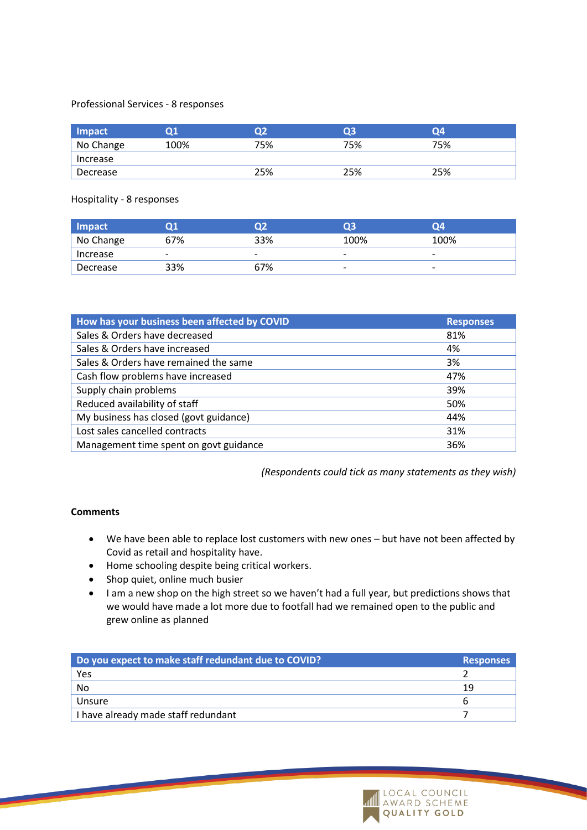#### Professional Services - 8 responses

| Impact    | Ο1   | Ω2  | Ο3  | 04  |
|-----------|------|-----|-----|-----|
| No Change | 100% | 75% | 75% | 75% |
| Increase  |      |     |     |     |
| Decrease  |      | 25% | 25% | 25% |

Hospitality - 8 responses

| Impact    | О1                       | D2                       | O3                       | Ο4   |
|-----------|--------------------------|--------------------------|--------------------------|------|
| No Change | 67%                      | 33%                      | 100%                     | 100% |
| Increase  | $\overline{\phantom{0}}$ | $\overline{\phantom{0}}$ | $\overline{\phantom{0}}$ | -    |
| Decrease  | 33%                      | 67%                      |                          | -    |

| <b>Responses</b> |
|------------------|
| 81%              |
| 4%               |
| 3%               |
| 47%              |
| 39%              |
| 50%              |
| 44%              |
| 31%              |
| 36%              |
|                  |

*(Respondents could tick as many statements as they wish)*

### **Comments**

- We have been able to replace lost customers with new ones but have not been affected by Covid as retail and hospitality have.
- Home schooling despite being critical workers.
- Shop quiet, online much busier
- I am a new shop on the high street so we haven't had a full year, but predictions shows that we would have made a lot more due to footfall had we remained open to the public and grew online as planned

| Do you expect to make staff redundant due to COVID? | <b>Responses</b> |
|-----------------------------------------------------|------------------|
| Yes                                                 |                  |
| No                                                  | 1 Q              |
| Unsure                                              |                  |
| I have already made staff redundant                 |                  |

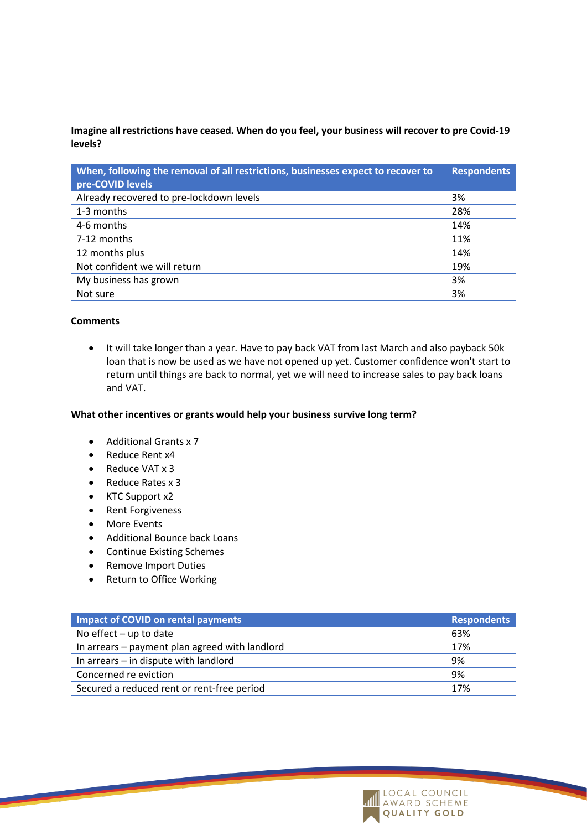**Imagine all restrictions have ceased. When do you feel, your business will recover to pre Covid-19 levels?**

| When, following the removal of all restrictions, businesses expect to recover to<br>pre-COVID levels | <b>Respondents</b> |
|------------------------------------------------------------------------------------------------------|--------------------|
| Already recovered to pre-lockdown levels                                                             | 3%                 |
| 1-3 months                                                                                           | 28%                |
| 4-6 months                                                                                           | 14%                |
| 7-12 months                                                                                          | 11%                |
| 12 months plus                                                                                       | 14%                |
| Not confident we will return                                                                         | 19%                |
| My business has grown                                                                                | 3%                 |
| Not sure                                                                                             | 3%                 |

#### **Comments**

• It will take longer than a year. Have to pay back VAT from last March and also payback 50k loan that is now be used as we have not opened up yet. Customer confidence won't start to return until things are back to normal, yet we will need to increase sales to pay back loans and VAT.

#### **What other incentives or grants would help your business survive long term?**

- Additional Grants x 7
- Reduce Rent x4
- Reduce VAT x 3
- Reduce Rates x 3
- KTC Support x2
- Rent Forgiveness
- More Events
- Additional Bounce back Loans
- Continue Existing Schemes
- Remove Import Duties
- Return to Office Working

| Impact of COVID on rental payments             | <b>Respondents</b> |
|------------------------------------------------|--------------------|
| No effect $-$ up to date                       | 63%                |
| In arrears – payment plan agreed with landlord | 17%                |
| In arrears - in dispute with landlord          | 9%                 |
| Concerned re eviction                          | 9%                 |
| Secured a reduced rent or rent-free period     | 17%                |

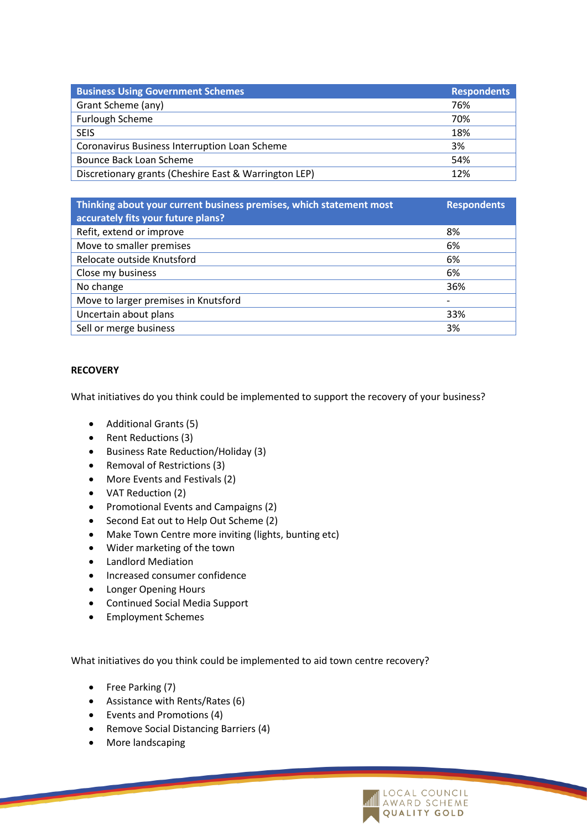| <b>Business Using Government Schemes</b>              | <b>Respondents</b> |
|-------------------------------------------------------|--------------------|
| Grant Scheme (any)                                    | 76%                |
| <b>Furlough Scheme</b>                                | 70%                |
| <b>SEIS</b>                                           | 18%                |
| Coronavirus Business Interruption Loan Scheme         | 3%                 |
| Bounce Back Loan Scheme                               | 54%                |
| Discretionary grants (Cheshire East & Warrington LEP) | 12%                |

| <b>Respondents</b> |
|--------------------|
| 8%                 |
| 6%                 |
| 6%                 |
| 6%                 |
| 36%                |
| -                  |
| 33%                |
| 3%                 |
|                    |

### **RECOVERY**

What initiatives do you think could be implemented to support the recovery of your business?

- Additional Grants (5)
- Rent Reductions (3)
- Business Rate Reduction/Holiday (3)
- Removal of Restrictions (3)
- More Events and Festivals (2)
- VAT Reduction (2)
- Promotional Events and Campaigns (2)
- Second Eat out to Help Out Scheme (2)
- Make Town Centre more inviting (lights, bunting etc)
- Wider marketing of the town
- Landlord Mediation
- Increased consumer confidence
- Longer Opening Hours
- Continued Social Media Support
- Employment Schemes

What initiatives do you think could be implemented to aid town centre recovery?

- Free Parking (7)
- Assistance with Rents/Rates (6)
- Events and Promotions (4)
- Remove Social Distancing Barriers (4)
- More landscaping